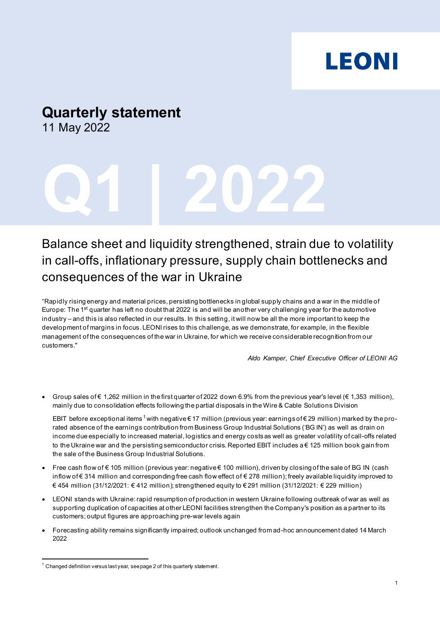# **LEONI**

# **Quarterly statement**

11 May 2022

# **Q1 | 2022**

# Balance sheet and liquidity strengthened, strain due to volatility in call-offs, inflationary pressure, supply chain bottlenecks and consequences of the war in Ukraine

"Rapidly rising energy and material prices, persisting bottlenecks in global supply chains and a war in the middle of Europe: The 1<sup>st</sup> quarter has left no doubt that 2022 is and will be another very challenging year for the automotive industry – and this is also reflected in our results. In this setting, it will now be all the more important to keep the development of margins in focus. LEONI rises to this challenge, as we demonstrate, for example, in the flexible management of the consequences of the war in Ukraine, for which we receive considerable recognition from our customers."

*Aldo Kamper, Chief Executive Officer of LEONI AG*

Group sales of  $\epsilon$  1,262 million in the first quarter of 2022 down 6.9% from the previous year's level ( $\epsilon$  1,353 million), mainly due to consolidation effects following the partial disposals in the Wire & Cable Solutions Division

EBIT before exceptional items <sup>[1](#page-0-0)</sup> with negative  $\epsilon$  17 million (previous year: earnings of  $\epsilon$  29 million) marked by the prorated absence of the earnings contribution from Business Group Industrial Solutions ('BG IN') as well as drain on income due especially to increased material, logistics and energy costs as well as greater volatility of call-offs related to the Ukraine war and the persisting semiconductor crisis. Reported EBIT includes a € 125 million book gain from the sale of the Business Group Industrial Solutions.

- Free cash flow of € 105 million (previous year: negative € 100 million), driven by closing of the sale of BG IN (cash inflow of € 314 million and corresponding free cash flow effect of € 278 million); freely available liquidity improved to € 454 million (31/12/2021: € 412 million); strengthened equity to € 291 million (31/12/2021: € 229 million)
- LEONI stands with Ukraine: rapid resumption of production in western Ukraine following outbreak of war as well as supporting duplication of capacities at other LEONI facilities strengthen the Company's position as a partner to its customers; output figures are approaching pre-war levels again
- Forecasting ability remains significantly impaired; outlook unchanged from ad-hoc announcement dated 14 March 2022

<span id="page-0-0"></span> $1$  Changed definition versus last year, see page 2 of this quarterly statement.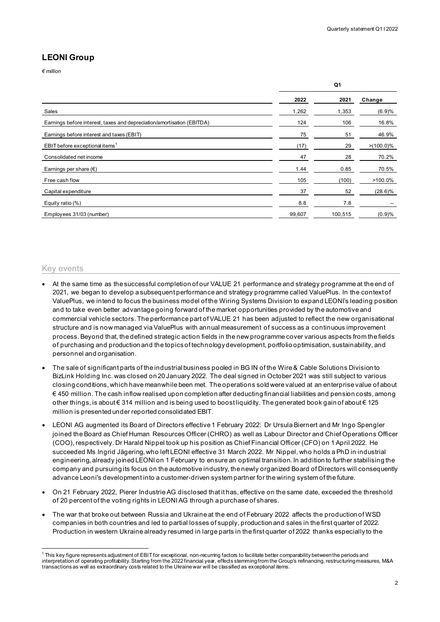**Q1**

#### **LEONI Group**

*€ million*

|                                                                        | 2022   | 2021    | Change       |  |
|------------------------------------------------------------------------|--------|---------|--------------|--|
| Sales                                                                  | 1,262  | 1,353   | (6.9)%       |  |
| Earnings before interest, taxes and depreciation/amortisation (EBITDA) | 124    | 106     | 16.8%        |  |
| Earnings before interest and taxes (EBIT)                              | 75     | 51      | 46.9%        |  |
| EBIT before exceptional items <sup>1</sup>                             | (17)   | 29      | $>(100.0)\%$ |  |
| Consolidated net income                                                | 47     | 28      | 70.2%        |  |
| Earnings per share $(\epsilon)$                                        | 1.44   | 0.85    | 70.5%        |  |
| Free cash flow                                                         | 105    | (100)   | $>100.0\%$   |  |
| Capital expenditure                                                    | 37     | 52      | $(28.6)\%$   |  |
| Equity ratio (%)                                                       | 8.8    | 7.8     |              |  |
| Employees 31/03 (number)                                               | 99,607 | 100,515 | (0.9)%       |  |

#### Key events

- At the same time as the successful completion of our VALUE 21 performance and strategy programme at the end of 2021, we began to develop a subsequent performance and strategy programme called ValuePlus. In the context of ValuePlus, we intend to focus the business model of the Wiring Systems Division to expand LEONI's leading position and to take even better advantage going forward of the market opportunities provided by the automotive and commercial vehicle sectors. The performance part of VALUE 21 has been adjusted to reflect the new organisational structure and is now managed via ValuePlus with annual measurement of success as a continuous improvement process. Beyond that, the defined strategic action fields in the new programme cover various aspects from the fields of purchasing and production and the topics of technology development, portfolio optimisation, sustainability, and personnel and organisation.
- The sale of significant parts of the industrial business pooled in BG IN of the Wire & Cable Solutions Division to BizLink Holding Inc. was closed on 20 January 2022. The deal signed in October 2021 was still subject to various closing conditions, which have meanwhile been met. The operations sold were valued at an enterprise value of about € 450 million. The cash inflow realised upon completion after deducting financial liabilities and pension costs, among other things, is about € 314 million and is being used to boost liquidity. The generated book gain of about € 125 million is presented under reported consolidated EBIT.
- LEONI AG augmented its Board of Directors effective 1 February 2022: Dr Ursula Biernert and Mr Ingo Spengler joined the Board as Chief Human Resources Officer (CHRO) as well as Labour Director and Chief Operations Officer (COO), respectively. Dr Harald Nippel took up his position as Chief Financial Officer (CFO) on 1 April 2022. He succeeded Ms Ingrid Jägering, who left LEONI effective 31 March 2022. Mr Nippel, who holds a PhD in industrial engineering, already joined LEONI on 1 February to ensure an optimal transition. In addition to further stabilising the company and pursuing its focus on the automotive industry, the newly organized Board of Directors will consequently advance Leoni's development into a customer-driven system partner for the wiring system of the future.
- On 21 February 2022, Pierer Industrie AG disclosed that it has, effective on the same date, exceeded the threshold of 20 percent of the voting rights in LEONI AG through a purchase of shares.
- The war that broke out between Russia and Ukraine at the end of February 2022 affects the production of WSD companies in both countries and led to partial losses of supply, production and sales in the first quarter of 2022. Production in western Ukraine already resumed in large parts in the first quarter of 2022 thanks especially to the

<span id="page-1-0"></span> $^{\rm 1}$ This key figure represents adjustment of EBIT for exceptional, non-recurring factors to facilitate better comparability between the periods and interpretation of operating profitability. Starting from the 2022 financial year, effects stemming from the Group's refinancing, restructuring measures, M&A transactions as well as extraordinary costs related to the Ukraine war will be classified as exceptional items.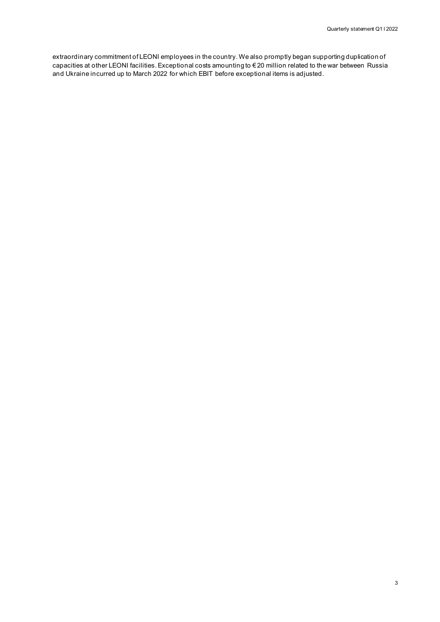extraordinary commitment of LEONI employees in the country. We also promptly began supporting duplication of capacities at other LEONI facilities. Exceptional costs amounting to € 20 million related to the war between Russia and Ukraine incurred up to March 2022 for which EBIT before exceptional items is adjusted.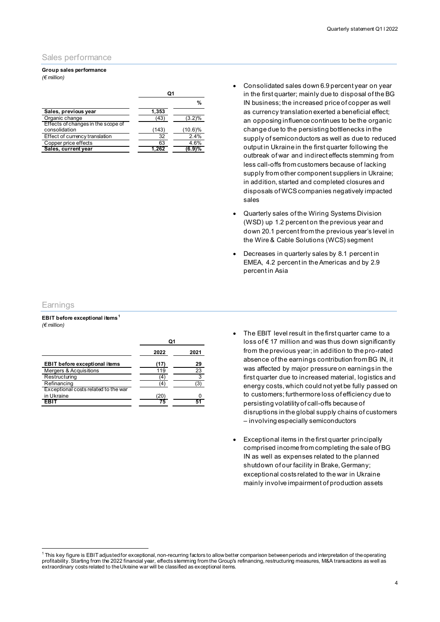#### Sales performance

#### **Group sales performance** *(€ million)*

| Ω1    |           |
|-------|-----------|
|       | %         |
| 1,353 |           |
| (43   | $(3.2)\%$ |
| (143  | (10.6)%   |
| 32    | 2.4%      |
| 63    | 4.6%      |
| 1,262 | 6.9)%     |
|       |           |

- Consolidated sales down 6.9 percent year on year in the first quarter; mainly due to disposal of the BG IN business; the increased price of copper as well as currency translation exerted a beneficial effect; an opposing influence continues to be the organic change due to the persisting bottlenecks in the supply of semiconductors as well as due to reduced output in Ukraine in the first quarter following the outbreak of war and indirect effects stemming from less call-offs from customers because of lacking supply from other component suppliers in Ukraine; in addition, started and completed closures and disposals of WCS companies negatively impacted sales
- Quarterly sales of the Wiring Systems Division (WSD) up 1.2 percent on the previous year and down 20.1 percent from the previous year's level in the Wire & Cable Solutions (WCS) segment
- Decreases in quarterly sales by 8.1 percent in EMEA, 4.2 percent in the Americas and by 2.9 percent in Asia

#### **Earnings**

**EBIT before exceptional items[1](#page-3-0)** *(€ million)*

|                                      | 2022 | 2021            |
|--------------------------------------|------|-----------------|
| <b>EBIT</b> before exceptional items | 17   | 29              |
| Mergers & Acquisitions               | 119  | $\overline{23}$ |
| Restructuring                        |      | 3               |
| Refinancing                          |      |                 |
| Exceptional costs related to the war |      |                 |
| in Ukraine                           | 20   |                 |
| FRIT                                 |      |                 |

- The EBIT level result in the first quarter came to a loss of € 17 million and was thus down significantly from the previous year; in addition to the pro-rated absence of the earnings contribution from BG IN, it was affected by major pressure on earnings in the first quarter due to increased material, logistics and energy costs, which could not yet be fully passed on to customers; furthermore loss of efficiency due to persisting volatility of call-offs because of disruptions in the global supply chains of customers – involving especially semiconductors
- Exceptional items in the first quarter principally comprised income from completing the sale of BG IN as well as expenses related to the planned shutdown of our facility in Brake, Germany; exceptional costs related to the war in Ukraine mainly involve impairment of production assets

<span id="page-3-0"></span><sup>1</sup> This key figure is EBIT adjusted for exceptional, non-recurring factors to allow better comparison between periods and interpretation of the operating profitability. Starting from the 2022 financial year, effects stemming from the Group's refinancing, restructuring measures, M&A transactions as well as extraordinary costs related to the Ukraine war will be classified as exceptional items.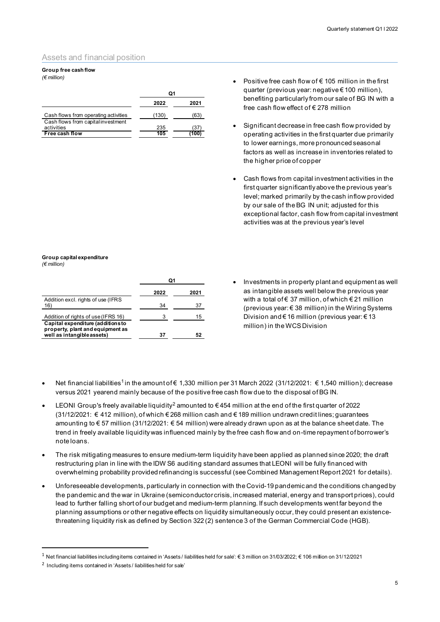#### Assets and financial position

#### **Group free cash flow**

*(€ million)*

|                                                  | 2022  | 2021 |
|--------------------------------------------------|-------|------|
| Cash flows from operating activities             | (130) | (63  |
| Cash flows from capital investment<br>activities | 235   | 131  |
| Free cash flow                                   | 105   | 100  |

- Positive free cash flow of  $\epsilon$  105 million in the first quarter (previous year: negative € 100 million), benefiting particularly from our sale of BG IN with a free cash flow effect of € 278 million
- Significant decrease in free cash flow provided by operating activities in the first quarter due primarily to lower earnings, more pronounced seasonal factors as well as increase in inventories related to the higher price of copper
- Cash flows from capital investment activities in the first quarter significantlyabove the previous year's level; marked primarily by the cash inflow provided by our sale of the BG IN unit; adjusted for this exceptional factor, cash flow from capital investment activities was at the previous year's level

#### **Group capital expenditure** *(€ million)*

|                                                                                                     | 2022 | 2021 |
|-----------------------------------------------------------------------------------------------------|------|------|
| Addition excl. rights of use (IFRS<br>16                                                            | 34   | 37   |
| Addition of rights of use (IFRS 16)                                                                 | з    | 15   |
| Capital expenditure (additions to<br>property, plant and equipment as<br>well as intangible assets) | 37   |      |

- Investments in property plant and equipment as well as intangible assets well below the previous year with a total of € 37 million, of which € 21 million (previous year: € 38 million) in the Wiring Systems Division and € 16 million (previous year: € 13 million) in the WCS Division
- Net financial liabilities<sup>[1](#page-4-0)</sup> in the amount of € 1,330 million per 31 March 2022 (31/12/2021: € 1,540 million); decrease versus 2021 yearend mainly because of the positive free cash flow due to the disposal of BG IN.
- LEONI Group's freely available liquidity<sup>[2](#page-4-1)</sup> amounted to  $\epsilon$  454 million at the end of the first quarter of 2022 (31/12/2021: € 412 million), of which € 268 million cash and € 189 million undrawn credit lines; guarantees amounting to € 57 million (31/12/2021: € 54 million) were already drawn upon as at the balance sheet date. The trend in freely available liquidity was influenced mainly by the free cash flow and on-time repayment of borrower's note loans.
- The risk mitigating measures to ensure medium-term liquidity have been applied as planned since 2020; the draft restructuring plan in line with the IDW S6 auditing standard assumes that LEONI will be fully financed with overwhelming probability provided refinancing is successful (see Combined Management Report 2021 for details).
- Unforeseeable developments, particularly in connection with the Covid-19 pandemic and the conditions changed by the pandemic and the war in Ukraine (semiconductor crisis, increased material, energy and transport prices), could lead to further falling short of our budget and medium-term planning. If such developments went far beyond the planning assumptions or other negative effects on liquidity simultaneously occur, they could present an existencethreatening liquidity risk as defined by Section 322 (2) sentence 3 of the German Commercial Code (HGB).

<span id="page-4-0"></span><sup>1</sup> Net financial liabilities including items contained in 'Assets / liabilities held for sale': € 3 million on 31/03/2022; € 106 million on 31/12/2021

<span id="page-4-1"></span><sup>&</sup>lt;sup>2</sup> Including items contained in 'Assets / liabilities held for sale'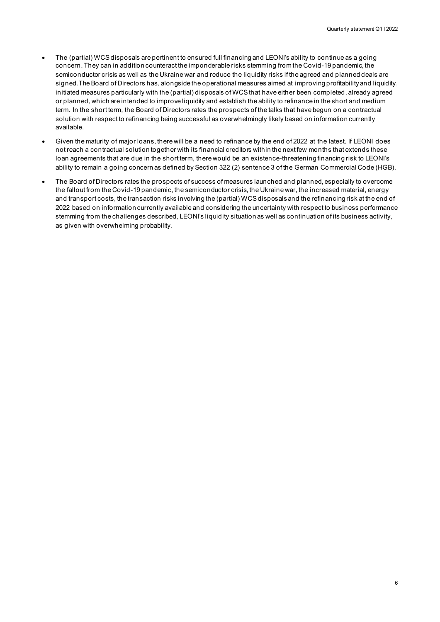- The (partial) WCS disposals are pertinent to ensured full financing and LEONI's ability to continue as a going concern. They can in addition counteract the imponderable risks stemming from the Covid-19 pandemic, the semiconductor crisis as well as the Ukraine war and reduce the liquidity risks if the agreed and planned deals are signed.The Board of Directors has, alongside the operational measures aimed at improving profitability and liquidity, initiated measures particularly with the (partial) disposals of WCS that have either been completed, already agreed or planned, which are intended to improve liquidity and establish the ability to refinance in the short and medium term. In the short term, the Board of Directors rates the prospects of the talks that have begun on a contractual solution with respect to refinancing being successful as overwhelmingly likely based on information currently available.
- Given the maturity of major loans, there will be a need to refinance by the end of 2022 at the latest. If LEONI does not reach a contractual solution together with its financial creditors within the next few months that extends these loan agreements that are due in the short term, there would be an existence-threatening financing risk to LEONI's ability to remain a going concern as defined by Section 322 (2) sentence 3 of the German Commercial Code (HGB).
- The Board of Directors rates the prospects of success of measures launched and planned, especially to overcome the fallout from the Covid-19 pandemic, the semiconductor crisis, the Ukraine war, the increased material, energy and transport costs, the transaction risks involving the (partial) WCS disposals and the refinancing risk at the end of 2022 based on information currently available and considering the uncertainty with respect to business performance stemming from the challenges described, LEONI's liquidity situation as well as continuation of its business activity, as given with overwhelming probability.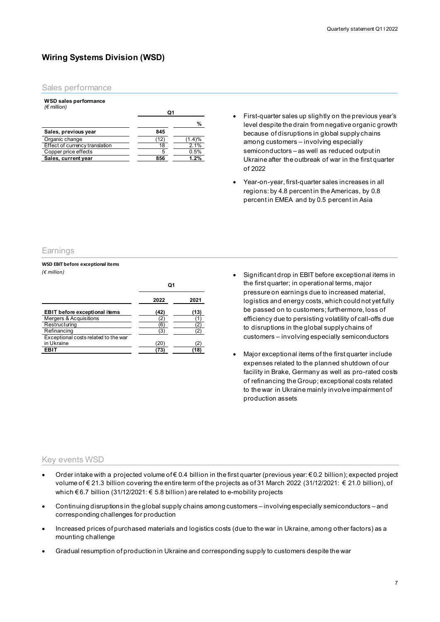#### **Wiring Systems Division (WSD)**

#### Sales performance

#### **WSD sales performance** *(€ million)*

| .                                     | Ο1  |        |
|---------------------------------------|-----|--------|
|                                       |     | %      |
| Sales, previous year                  | 845 |        |
| Organic change                        | 12  | (1.4)% |
| <b>Effect of currency translation</b> |     |        |
| Copper price effects                  |     | 0.5%   |
| Sales, current year                   | 856 | 1.2%   |

- First-quarter sales up slightly on the previous year's level despite the drain from negative organic growth because of disruptions in global supply chains among customers – involving especially semiconductors – as well as reduced output in Ukraine after the outbreak of war in the first quarter of 2022
- Year-on-year, first-quarter sales increases in all regions: by 4.8 percent in the Americas, by 0.8 percent in EMEA and by 0.5 percent in Asia

#### **Earnings**

#### **WSD EBIT before exceptional items** *(€ million)*

|                                      | Q1   |      |
|--------------------------------------|------|------|
|                                      | 2022 | 2021 |
| <b>EBIT before exceptional items</b> | (42) | (13  |
| <b>Mergers &amp; Acquisitions</b>    |      |      |
| Restructuring                        | 6    |      |
| Refinancing                          | ΄3   |      |
| Exceptional costs related to the war |      |      |
| in Ukraine                           | (20  |      |
| <b>EBIT</b>                          | 73   | 18   |

- Significant drop in EBIT before exceptional items in the first quarter; in operational terms, major pressure on earnings due to increased material, logistics and energy costs, which could not yet fully be passed on to customers; furthermore, loss of efficiency due to persisting volatility of call-offs due to disruptions in the global supply chains of customers – involving especially semiconductors
- Major exceptional items of the first quarter include expenses related to the planned shutdown of our facility in Brake, Germany as well as pro-rated costs of refinancing the Group; exceptional costs related to the war in Ukraine mainly involve impairment of production assets

#### Key events WSD

- Order intake with a projected volume of € 0.4 billion in the first quarter (previous year: € 0.2 billion); expected project volume of € 21.3 billion covering the entire term of the projects as of 31 March 2022 (31/12/2021: € 21.0 billion), of which € 6.7 billion (31/12/2021: € 5.8 billion) are related to e-mobility projects
- Continuing disruptions in the global supply chains among customers involving especially semiconductors and corresponding challenges for production
- Increased prices of purchased materials and logistics costs (due to the war in Ukraine, among other factors) as a mounting challenge
- Gradual resumption of production in Ukraine and corresponding supply to customers despite the war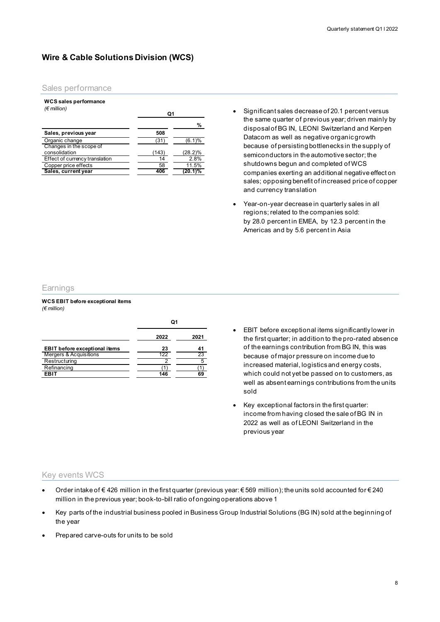#### **Wire & Cable Solutions Division (WCS)**

#### Sales performance

#### **WCS sales performance**

| $(\epsilon$ million)                     | Ο1    |         |
|------------------------------------------|-------|---------|
|                                          |       | %       |
| Sales, previous year                     | 508   |         |
| Organic change                           | (31   | (6.1)%  |
| Changes in the scope of<br>consolidation | (143) | (28.2)% |
| Effect of currency translation           | 14    | 2.8%    |
| Copper price effects                     | 58    | 11.5%   |
| Sales, current year                      | 406   | (20.1)% |

- Significant sales decrease of 20.1 percent versus the same quarter of previous year; driven mainly by disposal of BG IN, LEONI Switzerland and Kerpen Datacom as well as negative organic growth because of persisting bottlenecks in the supply of semiconductors in the automotive sector; the shutdowns begun and completed of WCS companies exerting an additional negative effect on sales; opposing benefit of increased price of copper and currency translation
- Year-on-year decrease in quarterly sales in all regions; related to the companies sold: by 28.0 percent in EMEA, by 12.3 percent in the Americas and by 5.6 percent in Asia

#### **Earnings**

#### **WCS EBIT before exceptional items**  *(€ million)*

|                                      | u    |      |
|--------------------------------------|------|------|
|                                      | 2022 | 2021 |
| <b>EBIT before exceptional items</b> | 23   |      |
| Mergers & Acquisitions               | 122  | 23   |
| Restructuring                        |      |      |
| Refinancing                          |      |      |
| FRIT                                 | 146  |      |

 $\mathbf{a}$ 

- EBIT before exceptional items significantly lower in the first quarter; in addition to the pro-rated absence of the earnings contribution from BG IN, this was because of major pressure on income due to increased material, logistics and energy costs, which could not yet be passed on to customers, as well as absent earnings contributions from the units sold
- Key exceptional factors in the first quarter: income from having closed the sale of BG IN in 2022 as well as of LEONI Switzerland in the previous year

#### Key events WCS

- Order intake of € 426 million in the first quarter (previous year: € 569 million); the units sold accounted for € 240 million in the previous year; book-to-bill ratio of ongoing operations above 1
- Key parts of the industrial business pooled in Business Group Industrial Solutions (BG IN) sold at the beginning of the year
- Prepared carve-outs for units to be sold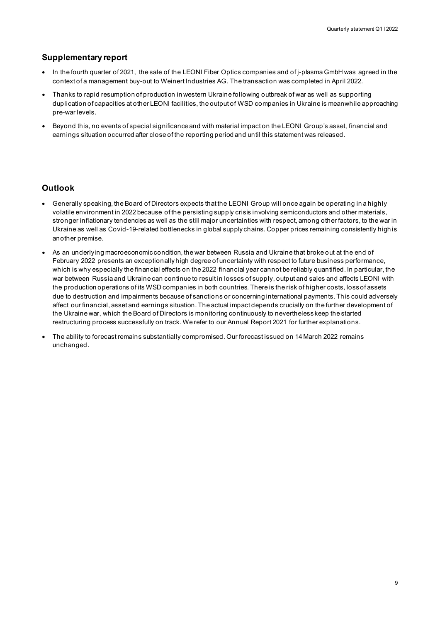#### **Supplementary report**

- In the fourth quarter of 2021, the sale of the LEONI Fiber Optics companies and of j-plasma GmbH was agreed in the context of a management buy-out to Weinert Industries AG. The transaction was completed in April 2022.
- Thanks to rapid resumption of production in western Ukraine following outbreak of war as well as supporting duplication of capacities at other LEONI facilities, the output of WSD companies in Ukraine is meanwhile approaching pre-war levels.
- Beyond this, no events of special significance and with material impact on the LEONI Group's asset, financial and earnings situation occurred after close of the reporting period and until this statement was released.

#### **Outlook**

- Generally speaking, the Board of Directors expects that the LEONI Group will once again be operating in a highly volatile environment in 2022 because of the persisting supply crisis involving semiconductors and other materials, stronger inflationary tendencies as well as the still major uncertainties with respect, among other factors, to the war in Ukraine as well as Covid-19-related bottlenecks in global supply chains. Copper prices remaining consistently high is another premise.
- As an underlying macroeconomic condition, the war between Russia and Ukraine that broke out at the end of February 2022 presents an exceptionally high degree of uncertainty with respect to future business performance, which is why especially the financial effects on the 2022 financial year cannot be reliably quantified. In particular, the war between Russia and Ukraine can continue to result in losses of supply, output and sales and affects LEONI with the production operations of its WSD companies in both countries. There is the risk of higher costs, loss of assets due to destruction and impairments because of sanctions or concerning international payments. This could adversely affect our financial, asset and earnings situation. The actual impact depends crucially on the further development of the Ukraine war, which the Board of Directors is monitoring continuously to nevertheless keep the started restructuring process successfully on track. We refer to our Annual Report 2021 for further explanations.
- The ability to forecast remains substantially compromised. Our forecast issued on 14 March 2022 remains unchanged.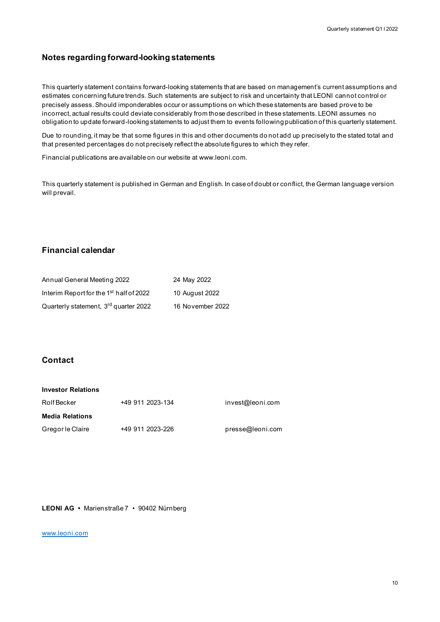#### **Notes regarding forward-looking statements**

This quarterly statement contains forward-looking statements that are based on management's current assumptions and estimates concerning future trends. Such statements are subject to risk and uncertainty that LEONI cannot control or precisely assess. Should imponderables occur or assumptions on which these statements are based prove to be incorrect, actual results could deviate considerably from those described in these statements. LEONI assumes no obligation to update forward-looking statements to adjust them to events following publication of this quarterly statement.

Due to rounding, it may be that some figures in this and other documents do not add up precisely to the stated total and that presented percentages do not precisely reflect the absolute figures to which they refer.

Financial publications are available on our website at www.leoni.com.

This quarterly statement is published in German and English. In case of doubt or conflict, the German language version will prevail.

#### **Financial calendar**

| Annual General Meeting 2022                         | 24 May 2022      |
|-----------------------------------------------------|------------------|
| Interim Report for the 1 <sup>st</sup> half of 2022 | 10 August 2022   |
| Quarterly statement, 3rd quarter 2022               | 16 November 2022 |

#### **Contact**

| <b>Investor Relations</b> |                  |                  |
|---------------------------|------------------|------------------|
| Rolf Becker               | +49 911 2023-134 | invest@leoni.com |
| <b>Media Relations</b>    |                  |                  |
| Gregor le Claire          | +49 911 2023-226 | presse@leoni.com |

**LEONI AG •** Marienstraße 7 • 90402 Nürnberg

#### [www.leoni.com](http://www.leoni.com/)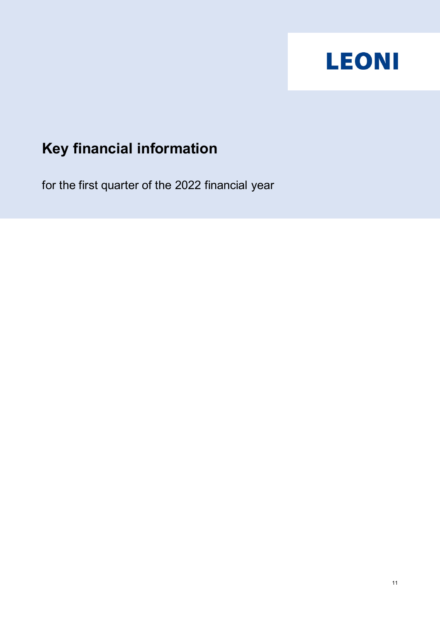

# **Key financial information**

for the first quarter of the 2022 financial year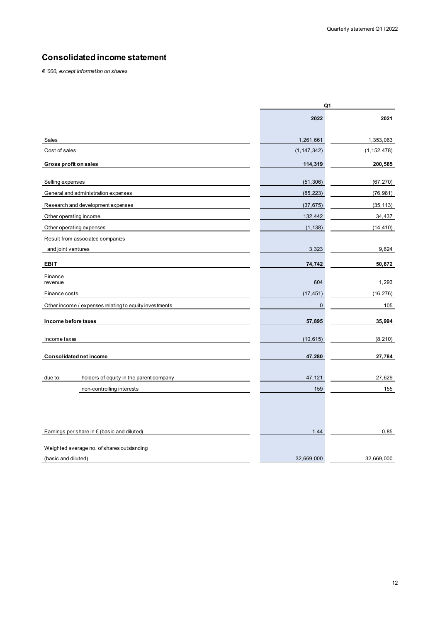#### **Consolidated income statement**

*€ '000, except information on shares*

|                                                        |               | Q1            |  |
|--------------------------------------------------------|---------------|---------------|--|
|                                                        | 2022          | 2021          |  |
| Sales                                                  | 1,261,661     | 1,353,063     |  |
| Cost of sales                                          | (1, 147, 342) | (1, 152, 478) |  |
| Gross profit on sales                                  | 114,319       | 200,585       |  |
| Selling expenses                                       | (51, 306)     | (67, 270)     |  |
| General and administration expenses                    | (85, 223)     | (76, 981)     |  |
| Research and development expenses                      | (37, 675)     | (35, 113)     |  |
| Other operating income                                 | 132,442       | 34,437        |  |
| Other operating expenses                               | (1, 138)      | (14, 410)     |  |
| Result from associated companies                       |               |               |  |
| and joint ventures                                     | 3,323         | 9,624         |  |
| <b>EBIT</b>                                            | 74,742        | 50,872        |  |
| Finance<br>revenue                                     | 604           | 1,293         |  |
| Finance costs                                          | (17, 451)     | (16, 276)     |  |
| Other income / expenses relating to equity investments | $\pmb{0}$     | 105           |  |
| Income before taxes                                    | 57,895        | 35,994        |  |
| Income taxes                                           | (10, 615)     | (8, 210)      |  |
| Consolidated net income                                | 47,280        | 27,784        |  |
|                                                        |               |               |  |
| holders of equity in the parent company<br>due to:     | 47,121        | 27,629        |  |
| non-controlling interests                              | 159           | 155           |  |
|                                                        |               |               |  |
| Earnings per share in $\epsilon$ (basic and diluted)   | 1.44          | 0.85          |  |
| Weighted average no. of shares outstanding             |               |               |  |
| (basic and diluted)                                    | 32,669,000    | 32,669,000    |  |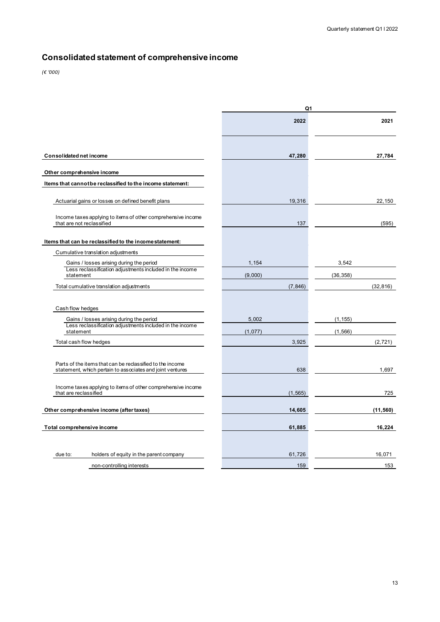# **Consolidated statement of comprehensive income**

*(€ '000)*

|                                                                                                      | Q1       |           |  |  |  |  |
|------------------------------------------------------------------------------------------------------|----------|-----------|--|--|--|--|
|                                                                                                      | 2022     | 2021      |  |  |  |  |
| Consolidated net income                                                                              | 47,280   | 27,784    |  |  |  |  |
| Other comprehensive income                                                                           |          |           |  |  |  |  |
| Items that cannot be reclassified to the income statement:                                           |          |           |  |  |  |  |
|                                                                                                      |          |           |  |  |  |  |
| Actuarial gains or losses on defined benefit plans                                                   | 19,316   | 22,150    |  |  |  |  |
| Income taxes applying to items of other comprehensive income<br>that are not reclassified            | 137      | (595)     |  |  |  |  |
| Items that can be reclassified to the income statement:                                              |          |           |  |  |  |  |
| Cumulative translation adjustments                                                                   |          |           |  |  |  |  |
| Gains / losses arising during the period                                                             | 1,154    | 3,542     |  |  |  |  |
| Less reclassification adjustments included in the income<br>statement                                | (9,000)  | (36, 358) |  |  |  |  |
| Total cumulative translation adjustments                                                             | (7, 846) | (32, 816) |  |  |  |  |
|                                                                                                      |          |           |  |  |  |  |
|                                                                                                      |          |           |  |  |  |  |
| Cash flow hedges                                                                                     |          |           |  |  |  |  |
| Gains / losses arising during the period<br>Less reclassification adjustments included in the income | 5,002    | (1, 155)  |  |  |  |  |
| statement                                                                                            | (1,077)  | (1, 566)  |  |  |  |  |
| Total cash flow hedges                                                                               | 3,925    | (2, 721)  |  |  |  |  |
|                                                                                                      |          |           |  |  |  |  |
| Parts of the items that can be reclassified to the income                                            |          |           |  |  |  |  |
| statement, which pertain to associates and joint ventures                                            | 638      | 1,697     |  |  |  |  |
|                                                                                                      |          |           |  |  |  |  |
| Income taxes applying to items of other comprehensive income<br>that are reclassified                | (1, 565) | 725       |  |  |  |  |
|                                                                                                      |          |           |  |  |  |  |
| Other comprehensive income (after taxes)                                                             | 14,605   | (11, 560) |  |  |  |  |
|                                                                                                      |          |           |  |  |  |  |
| Total comprehensive income                                                                           | 61,885   | 16,224    |  |  |  |  |
|                                                                                                      |          |           |  |  |  |  |
|                                                                                                      |          |           |  |  |  |  |
| holders of equity in the parent company<br>due to:                                                   | 61,726   | 16,071    |  |  |  |  |
| non-controlling interests                                                                            | 159      | 153       |  |  |  |  |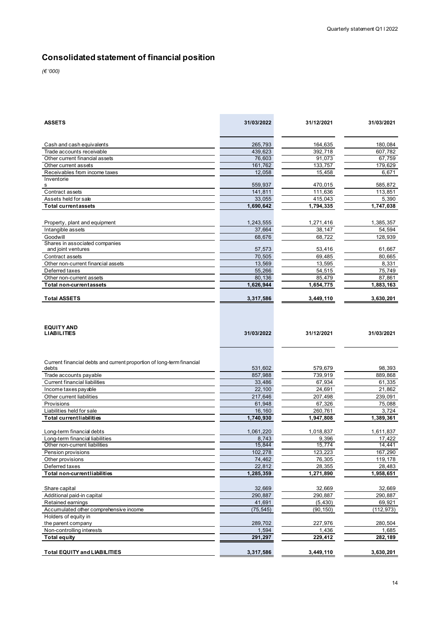# **Consolidated statement of financial position**

*(€ '000)*

| <b>ASSETS</b>                                                                  | 31/03/2022 | 31/12/2021 | 31/03/2021 |
|--------------------------------------------------------------------------------|------------|------------|------------|
| Cash and cash equivalents                                                      | 265,793    | 164,635    | 180,084    |
| Trade accounts receivable                                                      | 439,623    | 392,718    | 607,782    |
| Other current financial assets                                                 | 76,603     | 91,073     | 67,759     |
| Other current assets                                                           | 161,762    | 133,757    | 179,629    |
| Receivables from income taxes                                                  | 12,058     | 15,458     | 6,671      |
| Inventorie<br>s                                                                | 559,937    | 470,015    | 585,872    |
| Contract assets                                                                | 141,811    | 111,636    | 113,851    |
| Assets held for sale                                                           | 33,055     | 415,043    | 5,390      |
| <b>Total currentassets</b>                                                     | 1,690,642  | 1,794,335  | 1,747,038  |
| Property, plant and equipment                                                  | 1,243,555  | 1,271,416  | 1,385,357  |
| Intangible assets                                                              | 37,664     | 38,147     | 54,594     |
| Goodwill                                                                       | 68,676     | 68,722     | 128,939    |
| Shares in associated companies<br>and joint ventures                           | 57,573     | 53,416     | 61,667     |
| Contract assets                                                                | 70,505     | 69,485     | 80,665     |
| Other non-current financial assets                                             | 13,569     | 13,595     | 8,331      |
| Deferred taxes                                                                 | 55,266     | 54,515     | 75,749     |
| Other non-current assets                                                       | 80,136     | 85,479     | 87,861     |
| <b>Total non-current assets</b>                                                | 1,626,944  | 1,654,775  | 1,883,163  |
| <b>Total ASSETS</b>                                                            | 3,317,586  | 3,449,110  | 3,630,201  |
| <b>EQUITY AND</b><br><b>LIABILITIES</b>                                        | 31/03/2022 | 31/12/2021 | 31/03/2021 |
| Current financial debts and current proportion of long-term financial<br>debts | 531,602    | 579,679    | 98,393     |
| Trade accounts payable                                                         | 857,988    | 739,919    | 889,868    |
| <b>Current financial liabilities</b>                                           | 33,486     | 67,934     | 61,335     |
| Income taxes payable                                                           | 22,100     | 24,691     | 21,862     |
| Other current liabilities                                                      | 217,646    | 207,498    | 239,091    |
| Provisions                                                                     | 61,948     | 67,326     | 75,088     |
| Liabilities held for sale                                                      | 16,160     | 260,761    | 3,724      |
| <b>Total currentliabilities</b>                                                | 1,740,930  | 1,947,808  | 1,389,361  |
| Long-term financial debts                                                      | 1,061,220  | 1,018,837  | 1,611,837  |
| Long-term financial liabilities                                                | 8,743      | 9,396      | 17,422     |
| Other non-current liabilities                                                  | 15,844     | 15,774     | 14,441     |
| Pension provisions                                                             | 102,278    | 123,223    | 167,290    |
| Other provisions                                                               | 74,462     | 76,305     | 119,178    |
| Deferred taxes                                                                 | 22,812     | 28,355     | 28,483     |
| Total non-currentliabilities                                                   | 1,285,359  | 1,271,890  | 1,958,651  |
| Share capital                                                                  | 32,669     | 32,669     | 32,669     |
| Additional paid-in capital                                                     | 290,887    | 290,887    | 290,887    |
| Retained earnings                                                              | 41,691     | (5, 430)   | 69,921     |
| Accumulated other comprehensive income<br>Holders of equity in                 | (75, 545)  | (90, 150)  | (112, 973) |
| the parent company                                                             | 289,702    | 227,976    | 280,504    |
| Non-controlling interests                                                      | 1,594      | 1,436      | 1,685      |
| <b>Total equity</b>                                                            | 291,297    | 229,412    | 282,189    |
| <b>Total EQUITY and LIABILITIES</b>                                            | 3,317,586  | 3,449,110  | 3,630,201  |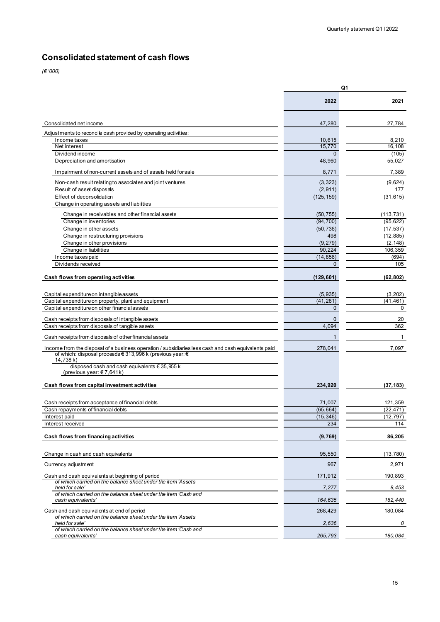### **Consolidated statement of cash flows**

*(€ '000)*

|                                                                                                     | Q1           |              |  |
|-----------------------------------------------------------------------------------------------------|--------------|--------------|--|
|                                                                                                     | 2022         | 2021         |  |
| Consolidated net income                                                                             | 47,280       | 27,784       |  |
| Adjustments to reconcile cash provided by operating activities:                                     |              |              |  |
| Income taxes                                                                                        | 10,615       | 8,210        |  |
| Net interest                                                                                        | 15,770       | 16.108       |  |
| Dividend income                                                                                     | $\mathbf{0}$ | (105)        |  |
| Depreciation and amortisation                                                                       | 48,960       | 55,027       |  |
| Impairment of non-current assets and of assets held for sale                                        | 8,771        | 7,389        |  |
| Non-cash result relating to associates and joint ventures                                           | (3, 323)     | (9,624)      |  |
| Result of asset disposals                                                                           | (2, 911)     | 177          |  |
| Effect of deconsolidation                                                                           | (125, 159)   | (31, 615)    |  |
| Change in operating assets and liabilities                                                          |              |              |  |
| Change in receivables and other financial assets                                                    | (50, 755)    | (113, 731)   |  |
| Change in inventories                                                                               | (94, 700)    | (95, 622)    |  |
| Change in other assets                                                                              | (50, 736)    | (17, 537)    |  |
| Change in restructuring provisions                                                                  | 498          | (12, 885)    |  |
| Change in other provisions                                                                          | (9, 279)     | (2, 148)     |  |
| Change in liabilities                                                                               | 90,224       | 106,359      |  |
| Income taxes paid                                                                                   | (14, 856)    | (694)        |  |
| Dividends received                                                                                  | $\mathbf{0}$ | 105          |  |
| Cash flows from operating activities                                                                | (129,601)    | (62, 802)    |  |
|                                                                                                     |              |              |  |
| Capital expenditure on intangible assets                                                            | (5,935)      | (3, 202)     |  |
| Capital expenditure on property, plant and equipment                                                | (41, 281)    | (41, 461)    |  |
| Capital expenditure on other financial assets                                                       | $\mathbf{0}$ | 0            |  |
| Cash receipts from disposals of intangible assets                                                   | $\mathbf 0$  | 20           |  |
| Cash receipts from disposals of tangible assets                                                     | 4,094        | 362          |  |
| Cash receipts from disposals of other financial assets                                              | 1            | $\mathbf{1}$ |  |
| Income from the disposal of a business operation / subsidiaries less cash and cash equivalents paid | 278,041      | 7,097        |  |
| of which: disposal proceeds € 313,996 k (previous year: €                                           |              |              |  |
| 14,738 k)<br>disposed cash and cash equivalents € 35,955 k                                          |              |              |  |
| (previous year: €7,641k)                                                                            |              |              |  |
| Cash flows from capital investment activities                                                       | 234,920      | (37, 183)    |  |
| Cash receipts from acceptance of financial debts                                                    | 71,007       | 121,359      |  |
| Cash repayments of financial debts                                                                  | (65, 664)    | (22, 471)    |  |
| Interest paid                                                                                       | (15.346)     | (12.797)     |  |
| Interest received                                                                                   | 234          | 114          |  |
| Cash flows from financing activities                                                                | (9,769)      | 86,205       |  |
|                                                                                                     |              |              |  |
| Change in cash and cash equivalents                                                                 | 95,550       | (13, 780)    |  |
| Currency adjustment                                                                                 | 967          | 2,971        |  |
| Cash and cash equivalents at beginning of period                                                    | 171,912      | 190,893      |  |
| of which carried on the balance sheet under the item 'Assets<br>held for sale                       | 7,277        | 8,453        |  |
| of which carried on the balance sheet under the item 'Cash and<br>cash equivalents'                 | 164,635      | 182,440      |  |
| Cash and cash equivalents at end of period                                                          | 268,429      | 180,084      |  |
| of which carried on the balance sheet under the item 'Assets<br>held for sale'                      | 2,636        | 0            |  |
| of which carried on the balance sheet under the item 'Cash and                                      |              |              |  |
| cash equivalents'                                                                                   | 265,793      | 180,084      |  |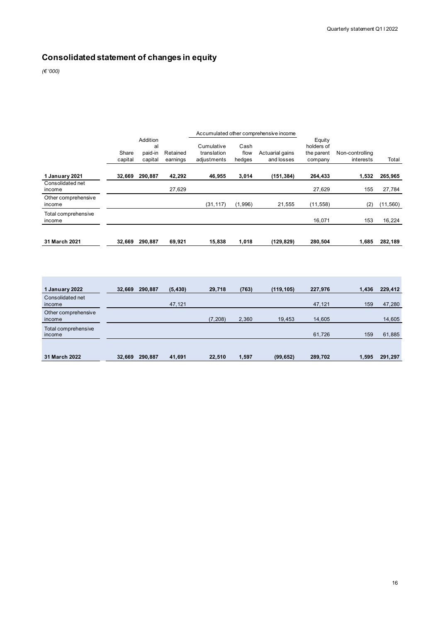# **Consolidated statement of changes in equity**

*(€ '000)*

**COL** 

|                               |                  | Accumulated other comprehensive income |                      |                                          |                        |                               |                                               |                              |           |
|-------------------------------|------------------|----------------------------------------|----------------------|------------------------------------------|------------------------|-------------------------------|-----------------------------------------------|------------------------------|-----------|
|                               | Share<br>capital | Addition<br>al<br>paid-in<br>capital   | Retained<br>earnings | Cumulative<br>translation<br>adjustments | Cash<br>flow<br>hedges | Actuarial gains<br>and losses | Equity<br>holders of<br>the parent<br>company | Non-controlling<br>interests | Total     |
| 1 January 2021                | 32,669           | 290,887                                | 42,292               | 46,955                                   | 3,014                  | (151, 384)                    | 264,433                                       | 1,532                        | 265,965   |
| Consolidated net<br>income    |                  |                                        | 27,629               |                                          |                        |                               | 27,629                                        | 155                          | 27,784    |
| Other comprehensive<br>income |                  |                                        |                      | (31, 117)                                | (1,996)                | 21,555                        | (11, 558)                                     | (2)                          | (11, 560) |
| Total comprehensive<br>income |                  |                                        |                      |                                          |                        |                               | 16,071                                        | 153                          | 16,224    |
| 31 March 2021                 | 32,669           | 290.887                                | 69,921               | 15,838                                   | 1,018                  | (129, 829)                    | 280,504                                       | 1,685                        | 282,189   |

| 1 January 2022                | 32,669 | 290.887 | (5, 430) | 29,718   | (763) | (119, 105) | 227,976 | 1.436 | 229,412 |
|-------------------------------|--------|---------|----------|----------|-------|------------|---------|-------|---------|
| Consolidated net<br>income    |        |         | 47,121   |          |       |            | 47,121  | 159   | 47,280  |
| Other comprehensive<br>income |        |         |          | (7, 208) | 2,360 | 19,453     | 14,605  |       | 14,605  |
| Total comprehensive<br>income |        |         |          |          |       |            | 61,726  | 159   | 61,885  |
|                               |        |         |          |          |       |            |         |       |         |
| 31 March 2022                 | 32,669 | 290,887 | 41,691   | 22,510   | 1,597 | (99, 652)  | 289,702 | 1,595 | 291,297 |